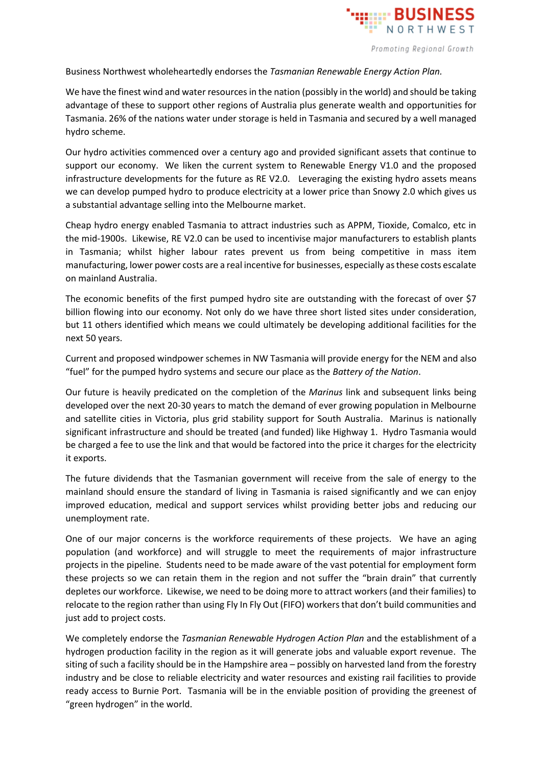

Business Northwest wholeheartedly endorses the *Tasmanian Renewable Energy Action Plan.*

We have the finest wind and water resources in the nation (possibly in the world) and should be taking advantage of these to support other regions of Australia plus generate wealth and opportunities for Tasmania. 26% of the nations water under storage is held in Tasmania and secured by a well managed hydro scheme.

Our hydro activities commenced over a century ago and provided significant assets that continue to support our economy. We liken the current system to Renewable Energy V1.0 and the proposed infrastructure developments for the future as RE V2.0. Leveraging the existing hydro assets means we can develop pumped hydro to produce electricity at a lower price than Snowy 2.0 which gives us a substantial advantage selling into the Melbourne market.

Cheap hydro energy enabled Tasmania to attract industries such as APPM, Tioxide, Comalco, etc in the mid-1900s. Likewise, RE V2.0 can be used to incentivise major manufacturers to establish plants in Tasmania; whilst higher labour rates prevent us from being competitive in mass item manufacturing, lower power costs are a real incentive for businesses, especially as these costs escalate on mainland Australia.

The economic benefits of the first pumped hydro site are outstanding with the forecast of over \$7 billion flowing into our economy. Not only do we have three short listed sites under consideration, but 11 others identified which means we could ultimately be developing additional facilities for the next 50 years.

Current and proposed windpower schemes in NW Tasmania will provide energy for the NEM and also "fuel" for the pumped hydro systems and secure our place as the *Battery of the Nation*.

Our future is heavily predicated on the completion of the *Marinus* link and subsequent links being developed over the next 20-30 years to match the demand of ever growing population in Melbourne and satellite cities in Victoria, plus grid stability support for South Australia. Marinus is nationally significant infrastructure and should be treated (and funded) like Highway 1. Hydro Tasmania would be charged a fee to use the link and that would be factored into the price it charges for the electricity it exports.

The future dividends that the Tasmanian government will receive from the sale of energy to the mainland should ensure the standard of living in Tasmania is raised significantly and we can enjoy improved education, medical and support services whilst providing better jobs and reducing our unemployment rate.

One of our major concerns is the workforce requirements of these projects. We have an aging population (and workforce) and will struggle to meet the requirements of major infrastructure projects in the pipeline. Students need to be made aware of the vast potential for employment form these projects so we can retain them in the region and not suffer the "brain drain" that currently depletes our workforce. Likewise, we need to be doing more to attract workers (and their families) to relocate to the region rather than using Fly In Fly Out (FIFO) workersthat don't build communities and just add to project costs.

We completely endorse the *Tasmanian Renewable Hydrogen Action Plan* and the establishment of a hydrogen production facility in the region as it will generate jobs and valuable export revenue. The siting of such a facility should be in the Hampshire area – possibly on harvested land from the forestry industry and be close to reliable electricity and water resources and existing rail facilities to provide ready access to Burnie Port. Tasmania will be in the enviable position of providing the greenest of "green hydrogen" in the world.